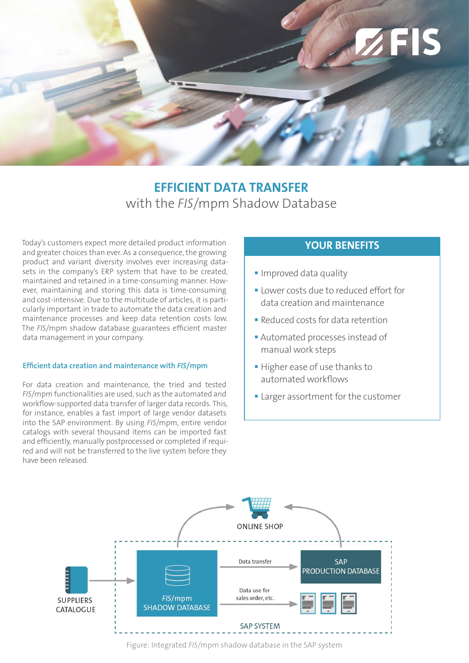

# **EFFICIENT DATA TRANSFER**  with the *FIS*/mpm Shadow Database

Today's customers expect more detailed product information and greater choices than ever. As a consequence, the growing product and variant diversity involves ever increasing datasets in the company's ERP system that have to be created, maintained and retained in a time-consuming manner. However, maintaining and storing this data is time-consuming and cost-intensive. Due to the multitude of articles, it is particularly important in trade to automate the data creation and maintenance processes and keep data retention costs low. The *FIS*/mpm shadow database guarantees efficient master data management in your company.

#### **Efficient data creation and maintenance with** *FIS***/mpm**

For data creation and maintenance, the tried and tested *FIS*/mpm functionalities are used, such as the automated and workflow-supported data transfer of larger data records. This, for instance, enables a fast import of large vendor datasets into the SAP environment. By using *FIS*/mpm, entire vendor catalogs with several thousand items can be imported fast and efficiently, manually postprocessed or completed if required and will not be transferred to the live system before they have been released.

## **YOUR BENEFITS**

- **Improved data quality**
- Lower costs due to reduced effort for data creation and maintenance
- Reduced costs for data retention
- Automated processes instead of manual work steps
- Higher ease of use thanks to automated workflows
- **Larger assortment for the customer**



Figure: Integrated *FIS*/mpm shadow database in the SAP system